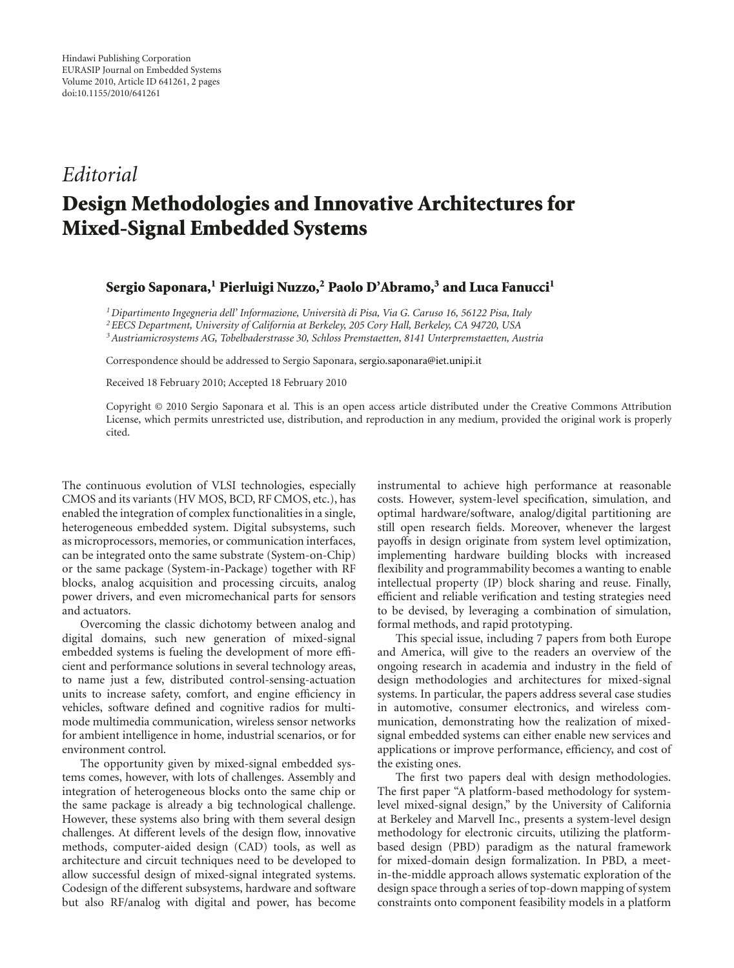## *Editorial* **Design Methodologies and Innovative Architectures for Mixed-Signal Embedded Systems**

## **Sergio Saponara,1 Pierluigi Nuzzo,2 Paolo D'Abramo,3 and Luca Fanucci1**

*1Dipartimento Ingegneria dell' Informazione, Universita di Pisa, Via G. Caruso 16, 56122 Pisa, Italy ` 2EECS Department, University of California at Berkeley, 205 Cory Hall, Berkeley, CA 94720, USA 3Austriamicrosystems AG, Tobelbaderstrasse 30, Schloss Premstaetten, 8141 Unterpremstaetten, Austria*

Correspondence should be addressed to Sergio Saponara, sergio.saponara@iet.unipi.it

Received 18 February 2010; Accepted 18 February 2010

Copyright © 2010 Sergio Saponara et al. This is an open access article distributed under the Creative Commons Attribution License, which permits unrestricted use, distribution, and reproduction in any medium, provided the original work is properly cited.

The continuous evolution of VLSI technologies, especially CMOS and its variants (HV MOS, BCD, RF CMOS, etc.), has enabled the integration of complex functionalities in a single, heterogeneous embedded system. Digital subsystems, such as microprocessors, memories, or communication interfaces, can be integrated onto the same substrate (System-on-Chip) or the same package (System-in-Package) together with RF blocks, analog acquisition and processing circuits, analog power drivers, and even micromechanical parts for sensors and actuators.

Overcoming the classic dichotomy between analog and digital domains, such new generation of mixed-signal embedded systems is fueling the development of more efficient and performance solutions in several technology areas, to name just a few, distributed control-sensing-actuation units to increase safety, comfort, and engine efficiency in vehicles, software defined and cognitive radios for multimode multimedia communication, wireless sensor networks for ambient intelligence in home, industrial scenarios, or for environment control.

The opportunity given by mixed-signal embedded systems comes, however, with lots of challenges. Assembly and integration of heterogeneous blocks onto the same chip or the same package is already a big technological challenge. However, these systems also bring with them several design challenges. At different levels of the design flow, innovative methods, computer-aided design (CAD) tools, as well as architecture and circuit techniques need to be developed to allow successful design of mixed-signal integrated systems. Codesign of the different subsystems, hardware and software but also RF/analog with digital and power, has become instrumental to achieve high performance at reasonable costs. However, system-level specification, simulation, and optimal hardware/software, analog/digital partitioning are still open research fields. Moreover, whenever the largest payoffs in design originate from system level optimization, implementing hardware building blocks with increased flexibility and programmability becomes a wanting to enable intellectual property (IP) block sharing and reuse. Finally, efficient and reliable verification and testing strategies need to be devised, by leveraging a combination of simulation, formal methods, and rapid prototyping.

This special issue, including 7 papers from both Europe and America, will give to the readers an overview of the ongoing research in academia and industry in the field of design methodologies and architectures for mixed-signal systems. In particular, the papers address several case studies in automotive, consumer electronics, and wireless communication, demonstrating how the realization of mixedsignal embedded systems can either enable new services and applications or improve performance, efficiency, and cost of the existing ones.

The first two papers deal with design methodologies. The first paper "A platform-based methodology for systemlevel mixed-signal design," by the University of California at Berkeley and Marvell Inc., presents a system-level design methodology for electronic circuits, utilizing the platformbased design (PBD) paradigm as the natural framework for mixed-domain design formalization. In PBD, a meetin-the-middle approach allows systematic exploration of the design space through a series of top-down mapping of system constraints onto component feasibility models in a platform